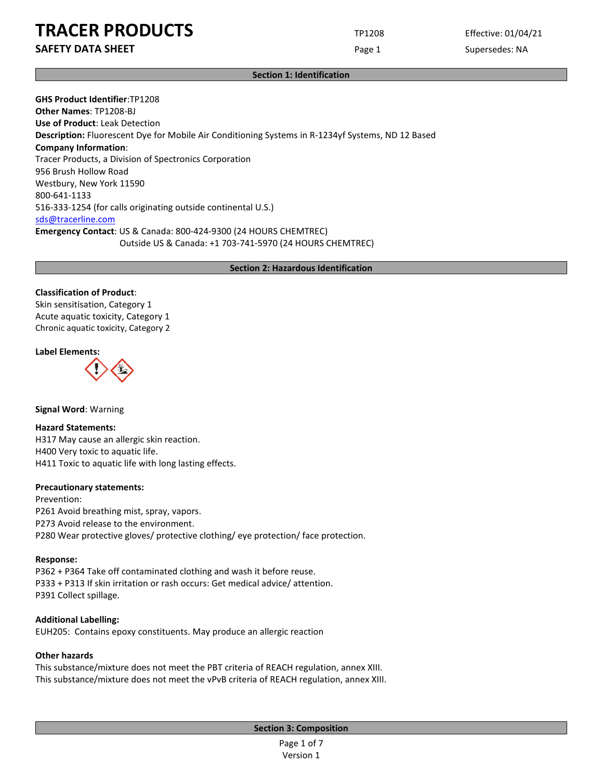**SAFETY DATA SHEET Page 1** Supersedes: NA

#### **Section 1: Identification**

**GHS Product Identifier**:TP1208 **Other Names**: TP1208-BJ **Use of Product**: Leak Detection **Description:** Fluorescent Dye for Mobile Air Conditioning Systems in R-1234yf Systems, ND 12 Based **Company Information**: Tracer Products, a Division of Spectronics Corporation 956 Brush Hollow Road Westbury, New York 11590 800-641-1133 516-333-1254 (for calls originating outside continental U.S.) [sds@tracerline.com](mailto:sds@tracerline.com)  **Emergency Contact**: US & Canada: 800-424-9300 (24 HOURS CHEMTREC) Outside US & Canada: +1 703-741-5970 (24 HOURS CHEMTREC)

#### **Section 2: Hazardous Identification**

#### **Classification of Product**:

Skin sensitisation, Category 1 Acute aquatic toxicity, Category 1 Chronic aquatic toxicity, Category 2

#### **Label Elements:**



#### **Signal Word**: Warning

#### **Hazard Statements:**

H317 May cause an allergic skin reaction. H400 Very toxic to aquatic life. H411 Toxic to aquatic life with long lasting effects.

#### **Precautionary statements:**

Prevention: P261 Avoid breathing mist, spray, vapors. P273 Avoid release to the environment. P280 Wear protective gloves/ protective clothing/ eye protection/ face protection.

#### **Response:**

P362 + P364 Take off contaminated clothing and wash it before reuse. P333 + P313 If skin irritation or rash occurs: Get medical advice/ attention. P391 Collect spillage.

#### **Additional Labelling:**

EUH205: Contains epoxy constituents. May produce an allergic reaction

### **Other hazards**

This substance/mixture does not meet the PBT criteria of REACH regulation, annex XIII. This substance/mixture does not meet the vPvB criteria of REACH regulation, annex XIII.

**Section 3: Composition**

Page 1 of 7 Version 1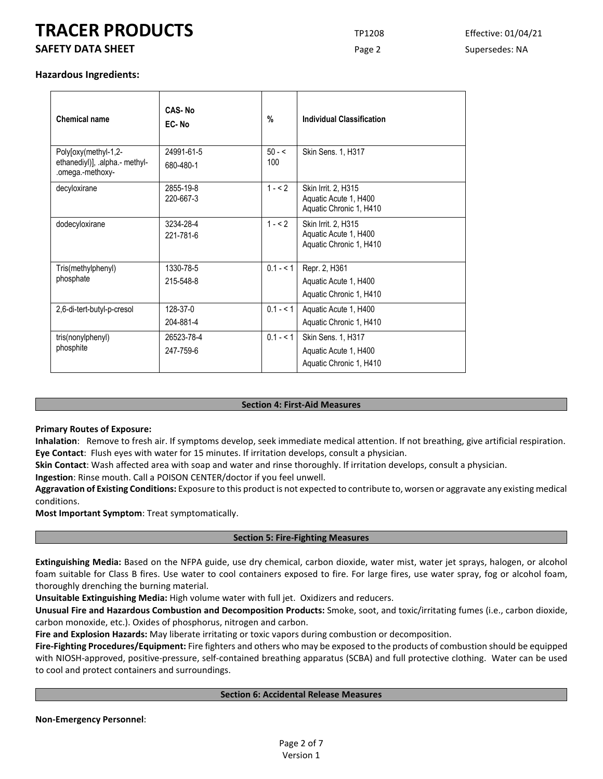# **SAFETY DATA SHEET Page 2** Supersedes: NA

#### **Hazardous Ingredients:**

| <b>Chemical name</b>                                                       | CAS-No<br>EC-No         | $\%$            | <b>Individual Classification</b>                                        |
|----------------------------------------------------------------------------|-------------------------|-----------------|-------------------------------------------------------------------------|
| Poly[oxy(methyl-1,2-<br>ethanediyl)], .alpha.- methyl-<br>.omega.-methoxy- | 24991-61-5<br>680-480-1 | $50 - 5$<br>100 | Skin Sens. 1, H317                                                      |
| decyloxirane                                                               | 2855-19-8<br>220-667-3  | $1 - 2$         | Skin Irrit. 2, H315<br>Aquatic Acute 1, H400<br>Aquatic Chronic 1, H410 |
| dodecyloxirane                                                             | 3234-28-4<br>221-781-6  | $1 - 52$        | Skin Irrit. 2, H315<br>Aquatic Acute 1, H400<br>Aquatic Chronic 1, H410 |
| Tris(methylphenyl)<br>phosphate                                            | 1330-78-5<br>215-548-8  | $0.1 - 1$       | Repr. 2, H361<br>Aquatic Acute 1, H400<br>Aquatic Chronic 1, H410       |
| 2,6-di-tert-butyl-p-cresol                                                 | 128-37-0<br>204-881-4   | $0.1 - 5.1$     | Aquatic Acute 1, H400<br>Aquatic Chronic 1, H410                        |
| tris(nonylphenyl)<br>phosphite                                             | 26523-78-4<br>247-759-6 | $0.1 - 5.1$     | Skin Sens. 1, H317<br>Aquatic Acute 1, H400<br>Aquatic Chronic 1, H410  |

#### **Section 4: First-Aid Measures**

#### **Primary Routes of Exposure:**

**Inhalation**: Remove to fresh air. If symptoms develop, seek immediate medical attention. If not breathing, give artificial respiration. **Eye Contact**: Flush eyes with water for 15 minutes. If irritation develops, consult a physician.

**Skin Contact**: Wash affected area with soap and water and rinse thoroughly. If irritation develops, consult a physician.

**Ingestion**: Rinse mouth. Call a POISON CENTER/doctor if you feel unwell.

**Aggravation of Existing Conditions:** Exposure to this product is not expected to contribute to, worsen or aggravate any existing medical conditions.

**Most Important Symptom**: Treat symptomatically.

#### **Section 5: Fire-Fighting Measures**

**Extinguishing Media:** Based on the NFPA guide, use dry chemical, carbon dioxide, water mist, water jet sprays, halogen, or alcohol foam suitable for Class B fires. Use water to cool containers exposed to fire. For large fires, use water spray, fog or alcohol foam, thoroughly drenching the burning material.

**Unsuitable Extinguishing Media:** High volume water with full jet. Oxidizers and reducers.

**Unusual Fire and Hazardous Combustion and Decomposition Products:** Smoke, soot, and toxic/irritating fumes (i.e., carbon dioxide, carbon monoxide, etc.). Oxides of phosphorus, nitrogen and carbon.

**Fire and Explosion Hazards:** May liberate irritating or toxic vapors during combustion or decomposition.

**Fire-Fighting Procedures/Equipment:** Fire fighters and others who may be exposed to the products of combustion should be equipped with NIOSH-approved, positive-pressure, self-contained breathing apparatus (SCBA) and full protective clothing. Water can be used to cool and protect containers and surroundings.

#### **Section 6: Accidental Release Measures**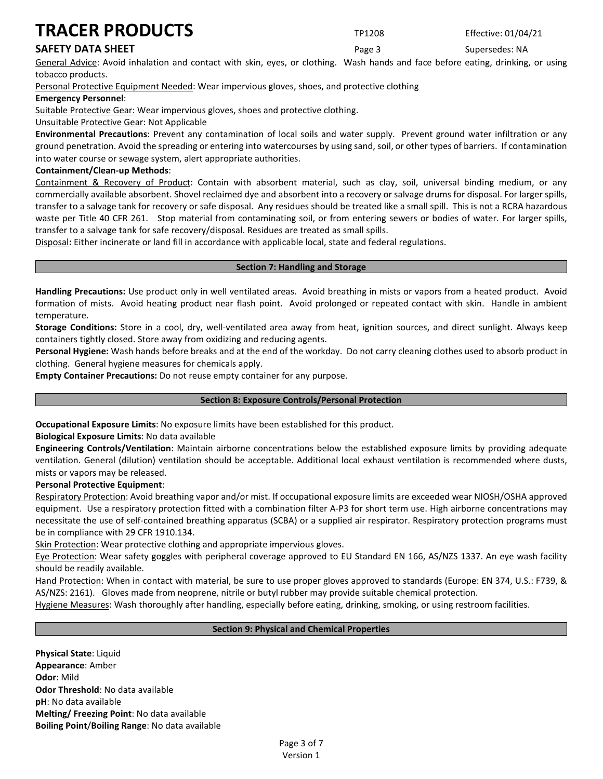# **SAFETY DATA SHEET Page 3** Supersedes: NA

General Advice: Avoid inhalation and contact with skin, eyes, or clothing. Wash hands and face before eating, drinking, or using tobacco products.

Personal Protective Equipment Needed: Wear impervious gloves, shoes, and protective clothing

#### **Emergency Personnel**:

Suitable Protective Gear: Wear impervious gloves, shoes and protective clothing.

#### Unsuitable Protective Gear: Not Applicable

**Environmental Precautions**: Prevent any contamination of local soils and water supply. Prevent ground water infiltration or any ground penetration. Avoid the spreading or entering into watercourses by using sand, soil, or other types of barriers. If contamination into water course or sewage system, alert appropriate authorities.

#### **Containment/Clean-up Methods**:

Containment & Recovery of Product: Contain with absorbent material, such as clay, soil, universal binding medium, or any commercially available absorbent. Shovel reclaimed dye and absorbent into a recovery or salvage drums for disposal. For larger spills, transfer to a salvage tank for recovery or safe disposal. Any residues should be treated like a small spill. This is not a RCRA hazardous waste per Title 40 CFR 261. Stop material from contaminating soil, or from entering sewers or bodies of water. For larger spills, transfer to a salvage tank for safe recovery/disposal. Residues are treated as small spills.

Disposal**:** Either incinerate or land fill in accordance with applicable local, state and federal regulations.

#### **Section 7: Handling and Storage**

**Handling Precautions:** Use product only in well ventilated areas. Avoid breathing in mists or vapors from a heated product. Avoid formation of mists. Avoid heating product near flash point. Avoid prolonged or repeated contact with skin. Handle in ambient temperature.

**Storage Conditions:** Store in a cool, dry, well-ventilated area away from heat, ignition sources, and direct sunlight. Always keep containers tightly closed. Store away from oxidizing and reducing agents.

**Personal Hygiene:** Wash hands before breaks and at the end of the workday. Do not carry cleaning clothes used to absorb product in clothing. General hygiene measures for chemicals apply.

**Empty Container Precautions:** Do not reuse empty container for any purpose.

#### **Section 8: Exposure Controls/Personal Protection**

**Occupational Exposure Limits**: No exposure limits have been established for this product.

**Biological Exposure Limits**: No data available

**Engineering Controls/Ventilation**: Maintain airborne concentrations below the established exposure limits by providing adequate ventilation. General (dilution) ventilation should be acceptable. Additional local exhaust ventilation is recommended where dusts, mists or vapors may be released.

#### **Personal Protective Equipment**:

Respiratory Protection: Avoid breathing vapor and/or mist. If occupational exposure limits are exceeded wear NIOSH/OSHA approved equipment. Use a respiratory protection fitted with a combination filter A-P3 for short term use. High airborne concentrations may necessitate the use of self-contained breathing apparatus (SCBA) or a supplied air respirator. Respiratory protection programs must be in compliance with 29 CFR 1910.134.

Skin Protection: Wear protective clothing and appropriate impervious gloves.

Eye Protection: Wear safety goggles with peripheral coverage approved to EU Standard EN 166, AS/NZS 1337. An eye wash facility should be readily available.

Hand Protection: When in contact with material, be sure to use proper gloves approved to standards (Europe: EN 374, U.S.: F739, & AS/NZS: 2161). Gloves made from neoprene, nitrile or butyl rubber may provide suitable chemical protection.

Hygiene Measures: Wash thoroughly after handling, especially before eating, drinking, smoking, or using restroom facilities.

#### **Section 9: Physical and Chemical Properties**

**Physical State**: Liquid **Appearance**: Amber **Odor**: Mild **Odor Threshold**: No data available **pH**: No data available **Melting/ Freezing Point**: No data available **Boiling Point**/**Boiling Range**: No data available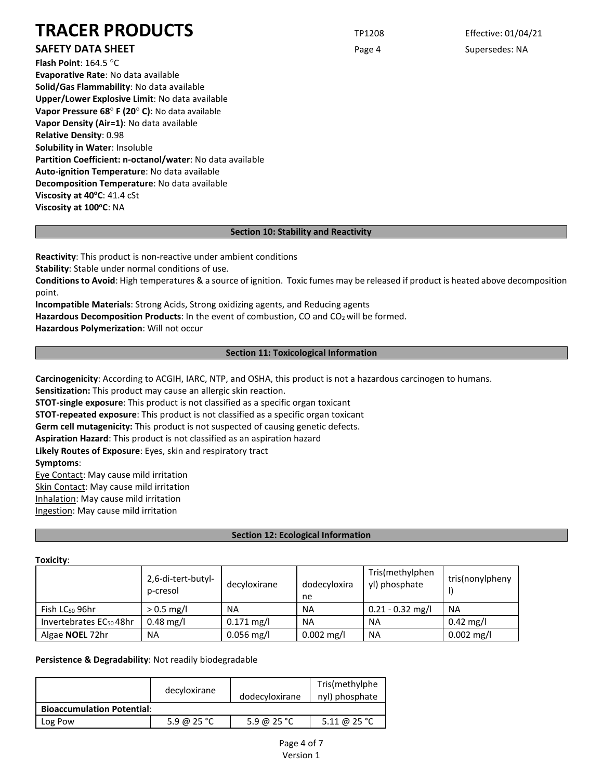# **SAFETY DATA SHEET Page 4** Supersedes: NA

**Flash Point**: 164.5 °C **Evaporative Rate**: No data available **Solid/Gas Flammability**: No data available **Upper/Lower Explosive Limit**: No data available **Vapor Pressure 68**° **F (20**° **C)**: No data available **Vapor Density (Air=1)**: No data available **Relative Density**: 0.98 **Solubility in Water**: Insoluble **Partition Coefficient: n-octanol/water**: No data available **Auto-ignition Temperature**: No data available **Decomposition Temperature**: No data available **Viscosity at 40°C: 41.4 cSt Viscosity at 100°C: NA** 

### **Section 10: Stability and Reactivity**

**Reactivity**: This product is non-reactive under ambient conditions **Stability**: Stable under normal conditions of use.

**Conditions to Avoid**: High temperatures & a source of ignition. Toxic fumes may be released if product is heated above decomposition point.

**Incompatible Materials**: Strong Acids, Strong oxidizing agents, and Reducing agents **Hazardous Decomposition Products**: In the event of combustion, CO and CO2 will be formed.

**Hazardous Polymerization**: Will not occur

### **Section 11: Toxicological Information**

**Carcinogenicity**: According to ACGIH, IARC, NTP, and OSHA, this product is not a hazardous carcinogen to humans.

**Sensitization:** This product may cause an allergic skin reaction.

**STOT-single exposure**: This product is not classified as a specific organ toxicant

**STOT-repeated exposure**: This product is not classified as a specific organ toxicant

**Germ cell mutagenicity:** This product is not suspected of causing genetic defects.

**Aspiration Hazard**: This product is not classified as an aspiration hazard

**Likely Routes of Exposure**: Eyes, skin and respiratory tract

**Symptoms**:

Eye Contact: May cause mild irritation Skin Contact: May cause mild irritation Inhalation: May cause mild irritation Ingestion: May cause mild irritation

## **Section 12: Ecological Information**

#### **Toxicity**:

|                                     | 2,6-di-tert-butyl-<br>p-cresol | decyloxirane | dodecyloxira<br>ne | Tris(methylphen<br>yl) phosphate | tris(nonylpheny     |
|-------------------------------------|--------------------------------|--------------|--------------------|----------------------------------|---------------------|
| Fish $LC_{50}$ 96hr                 | $> 0.5$ mg/l                   | <b>NA</b>    | <b>NA</b>          | $0.21 - 0.32$ mg/l               | <b>NA</b>           |
| Invertebrates EC <sub>50</sub> 48hr | $0.48 \text{ mg/l}$            | $0.171$ mg/l | <b>NA</b>          | <b>NA</b>                        | $0.42 \text{ mg/l}$ |
| Algae <b>NOEL</b> 72hr              | <b>NA</b>                      | $0.056$ mg/l | $0.002$ mg/l       | <b>NA</b>                        | $0.002$ mg/l        |

**Persistence & Degradability**: Not readily biodegradable

|                                   | decyloxirane | dodecyloxirane | Tris(methylphe<br>nyl) phosphate |
|-----------------------------------|--------------|----------------|----------------------------------|
| <b>Bioaccumulation Potential:</b> |              |                |                                  |
| Log Pow                           | 5.9 @ 25 °C  | 5.9 @ 25 °C    | 5.11 @ 25 °C                     |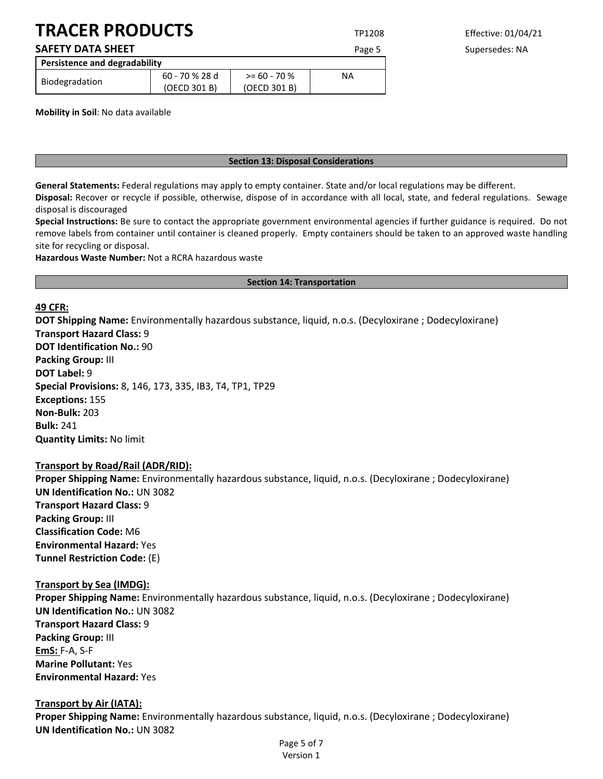# **SAFETY DATA SHEET EXECUTE:** Page 5 Supersedes: NA

| Persistence and degradability |                |               |    |  |
|-------------------------------|----------------|---------------|----|--|
| Biodegradation                | 60 - 70 % 28 d | $> 60 - 70$ % | ΝA |  |
|                               | (OECD 301 B)   | (OECD 301 B)  |    |  |

**Mobility in Soil**: No data available

#### **Section 13: Disposal Considerations**

**General Statements:** Federal regulations may apply to empty container. State and/or local regulations may be different. **Disposal:** Recover or recycle if possible, otherwise, dispose of in accordance with all local, state, and federal regulations. Sewage

disposal is discouraged **Special Instructions:** Be sure to contact the appropriate government environmental agencies if further guidance is required. Do not remove labels from container until container is cleaned properly. Empty containers should be taken to an approved waste handling site for recycling or disposal.

**Hazardous Waste Number:** Not a RCRA hazardous waste

#### **Section 14: Transportation**

### **49 CFR:**

**DOT Shipping Name:** Environmentally hazardous substance, liquid, n.o.s. (Decyloxirane ; Dodecyloxirane) **Transport Hazard Class:** 9 **DOT Identification No.:** 90 **Packing Group:** III **DOT Label:** 9 **Special Provisions:** 8, 146, 173, 335, IB3, T4, TP1, TP29 **Exceptions:** 155 **Non-Bulk:** 203 **Bulk:** 241 **Quantity Limits:** No limit

## **Transport by Road/Rail (ADR/RID):**

**Proper Shipping Name:** Environmentally hazardous substance, liquid, n.o.s. (Decyloxirane ; Dodecyloxirane) **UN Identification No.:** UN 3082 **Transport Hazard Class:** 9 **Packing Group:** III **Classification Code:** M6 **Environmental Hazard:** Yes **Tunnel Restriction Code:** (E)

## **Transport by Sea (IMDG):**

**Proper Shipping Name:** Environmentally hazardous substance, liquid, n.o.s. (Decyloxirane ; Dodecyloxirane) **UN Identification No.:** UN 3082 **Transport Hazard Class:** 9 **Packing Group:** III **EmS:** F-A, S-F **Marine Pollutant:** Yes **Environmental Hazard:** Yes

## **Transport by Air (IATA):**

**Proper Shipping Name:** Environmentally hazardous substance, liquid, n.o.s. (Decyloxirane ; Dodecyloxirane) **UN Identification No.:** UN 3082

> Page 5 of 7 Version 1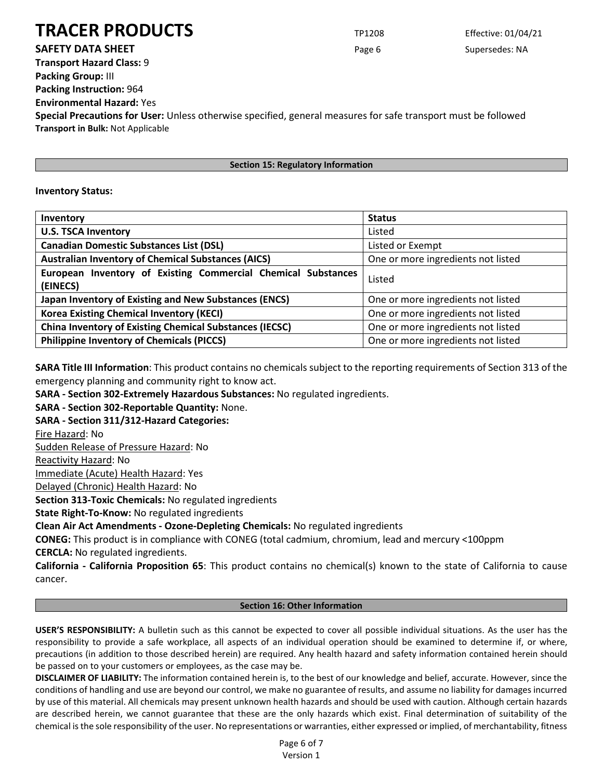**SAFETY DATA SHEET Page 6** Supersedes: NA

**Transport Hazard Class:** 9 **Packing Group:** III **Packing Instruction:** 964 **Environmental Hazard:** Yes

**Special Precautions for User:** Unless otherwise specified, general measures for safe transport must be followed **Transport in Bulk:** Not Applicable

## **Section 15: Regulatory Information**

## **Inventory Status:**

| Inventory                                                      | <b>Status</b>                      |  |
|----------------------------------------------------------------|------------------------------------|--|
| <b>U.S. TSCA Inventory</b>                                     | Listed                             |  |
| <b>Canadian Domestic Substances List (DSL)</b>                 | Listed or Exempt                   |  |
| <b>Australian Inventory of Chemical Substances (AICS)</b>      | One or more ingredients not listed |  |
| European Inventory of Existing Commercial Chemical Substances  | Listed                             |  |
| (EINECS)                                                       |                                    |  |
| Japan Inventory of Existing and New Substances (ENCS)          | One or more ingredients not listed |  |
| <b>Korea Existing Chemical Inventory (KECI)</b>                | One or more ingredients not listed |  |
| <b>China Inventory of Existing Chemical Substances (IECSC)</b> | One or more ingredients not listed |  |
| <b>Philippine Inventory of Chemicals (PICCS)</b>               | One or more ingredients not listed |  |

**SARA Title III Information**: This product contains no chemicals subject to the reporting requirements of Section 313 of the emergency planning and community right to know act.

**SARA - Section 302-Extremely Hazardous Substances:** No regulated ingredients.

**SARA - Section 302-Reportable Quantity:** None.

**SARA - Section 311/312-Hazard Categories:**

Fire Hazard: No

Sudden Release of Pressure Hazard: No

Reactivity Hazard: No

Immediate (Acute) Health Hazard: Yes

Delayed (Chronic) Health Hazard: No

**Section 313-Toxic Chemicals:** No regulated ingredients

**State Right-To-Know:** No regulated ingredients

**Clean Air Act Amendments - Ozone-Depleting Chemicals:** No regulated ingredients

**CONEG:** This product is in compliance with CONEG (total cadmium, chromium, lead and mercury <100ppm **CERCLA:** No regulated ingredients.

**California - California Proposition 65**: This product contains no chemical(s) known to the state of California to cause cancer.

## **Section 16: Other Information**

**USER'S RESPONSIBILITY:** A bulletin such as this cannot be expected to cover all possible individual situations. As the user has the responsibility to provide a safe workplace, all aspects of an individual operation should be examined to determine if, or where, precautions (in addition to those described herein) are required. Any health hazard and safety information contained herein should be passed on to your customers or employees, as the case may be.

**DISCLAIMER OF LIABILITY:** The information contained herein is, to the best of our knowledge and belief, accurate. However, since the conditions of handling and use are beyond our control, we make no guarantee of results, and assume no liability for damages incurred by use of this material. All chemicals may present unknown health hazards and should be used with caution. Although certain hazards are described herein, we cannot guarantee that these are the only hazards which exist. Final determination of suitability of the chemical is the sole responsibility of the user. No representations or warranties, either expressed or implied, of merchantability, fitness

> Page 6 of 7 Version 1